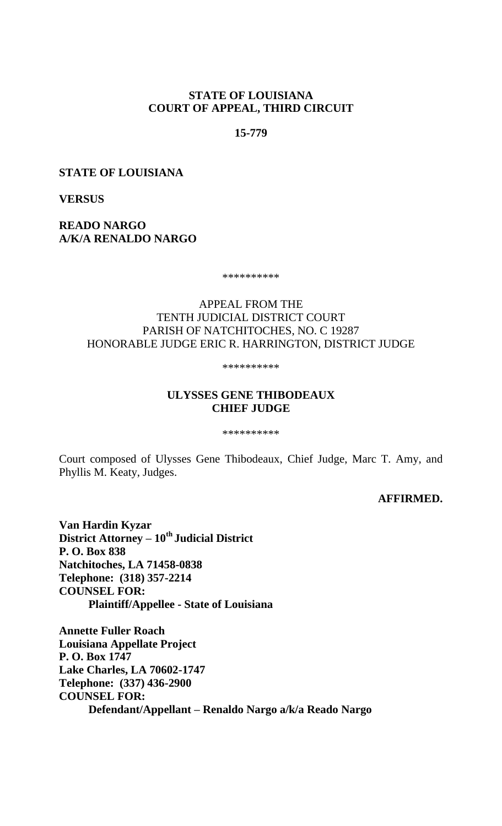## **STATE OF LOUISIANA COURT OF APPEAL, THIRD CIRCUIT**

## **15-779**

#### **STATE OF LOUISIANA**

**VERSUS**

**READO NARGO A/K/A RENALDO NARGO**

\*\*\*\*\*\*\*\*\*\*

## APPEAL FROM THE TENTH JUDICIAL DISTRICT COURT PARISH OF NATCHITOCHES, NO. C 19287 HONORABLE JUDGE ERIC R. HARRINGTON, DISTRICT JUDGE

\*\*\*\*\*\*\*\*\*\*

## **ULYSSES GENE THIBODEAUX CHIEF JUDGE**

\*\*\*\*\*\*\*\*\*\*

Court composed of Ulysses Gene Thibodeaux, Chief Judge, Marc T. Amy, and Phyllis M. Keaty, Judges.

#### **AFFIRMED.**

**Van Hardin Kyzar District Attorney – 10th Judicial District P. O. Box 838 Natchitoches, LA 71458-0838 Telephone: (318) 357-2214 COUNSEL FOR: Plaintiff/Appellee - State of Louisiana**

**Annette Fuller Roach Louisiana Appellate Project P. O. Box 1747 Lake Charles, LA 70602-1747 Telephone: (337) 436-2900 COUNSEL FOR: Defendant/Appellant – Renaldo Nargo a/k/a Reado Nargo**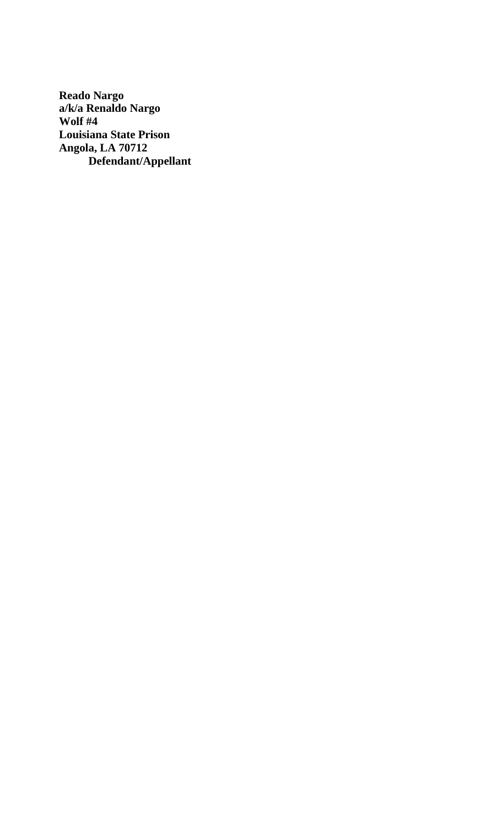**Reado Nargo a/k/a Renaldo Nargo Wolf #4 Louisiana State Prison Angola, LA 70712 Defendant/Appellant**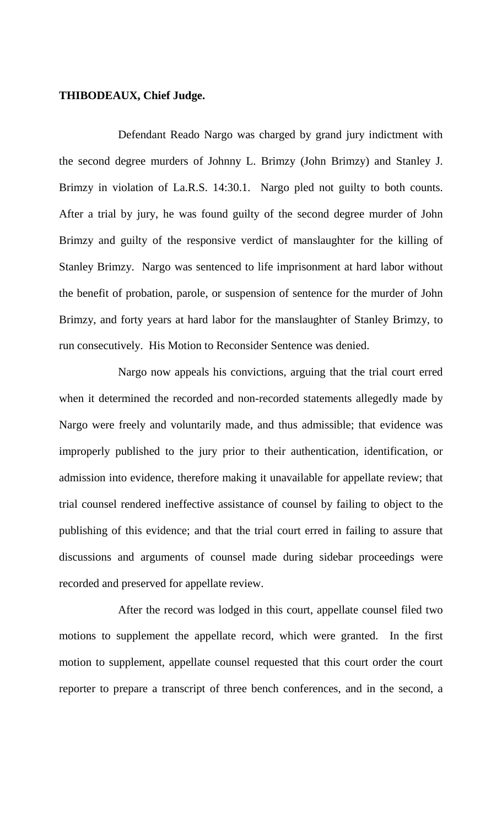## **THIBODEAUX, Chief Judge.**

Defendant Reado Nargo was charged by grand jury indictment with the second degree murders of Johnny L. Brimzy (John Brimzy) and Stanley J. Brimzy in violation of La.R.S. 14:30.1. Nargo pled not guilty to both counts. After a trial by jury, he was found guilty of the second degree murder of John Brimzy and guilty of the responsive verdict of manslaughter for the killing of Stanley Brimzy. Nargo was sentenced to life imprisonment at hard labor without the benefit of probation, parole, or suspension of sentence for the murder of John Brimzy, and forty years at hard labor for the manslaughter of Stanley Brimzy, to run consecutively. His Motion to Reconsider Sentence was denied.

Nargo now appeals his convictions, arguing that the trial court erred when it determined the recorded and non-recorded statements allegedly made by Nargo were freely and voluntarily made, and thus admissible; that evidence was improperly published to the jury prior to their authentication, identification, or admission into evidence, therefore making it unavailable for appellate review; that trial counsel rendered ineffective assistance of counsel by failing to object to the publishing of this evidence; and that the trial court erred in failing to assure that discussions and arguments of counsel made during sidebar proceedings were recorded and preserved for appellate review.

After the record was lodged in this court, appellate counsel filed two motions to supplement the appellate record, which were granted. In the first motion to supplement, appellate counsel requested that this court order the court reporter to prepare a transcript of three bench conferences, and in the second, a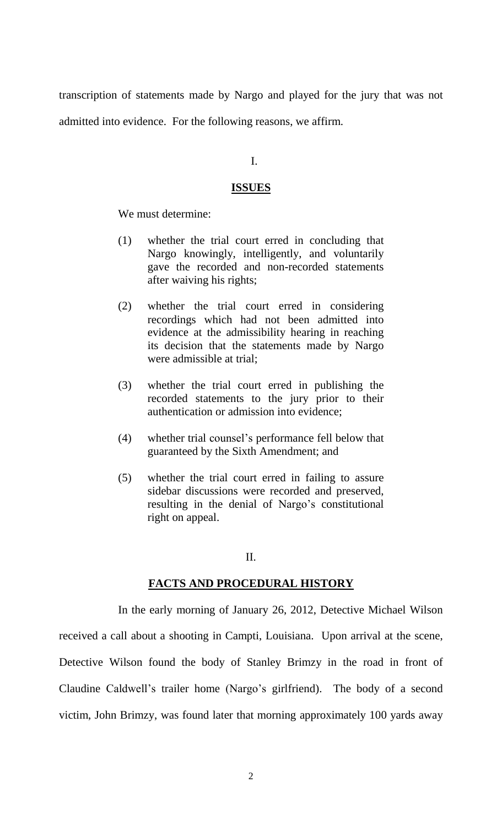transcription of statements made by Nargo and played for the jury that was not admitted into evidence. For the following reasons, we affirm.

#### I.

## **ISSUES**

We must determine:

- (1) whether the trial court erred in concluding that Nargo knowingly, intelligently, and voluntarily gave the recorded and non-recorded statements after waiving his rights;
- (2) whether the trial court erred in considering recordings which had not been admitted into evidence at the admissibility hearing in reaching its decision that the statements made by Nargo were admissible at trial;
- (3) whether the trial court erred in publishing the recorded statements to the jury prior to their authentication or admission into evidence;
- (4) whether trial counsel's performance fell below that guaranteed by the Sixth Amendment; and
- (5) whether the trial court erred in failing to assure sidebar discussions were recorded and preserved, resulting in the denial of Nargo's constitutional right on appeal.

## II.

## **FACTS AND PROCEDURAL HISTORY**

In the early morning of January 26, 2012, Detective Michael Wilson received a call about a shooting in Campti, Louisiana. Upon arrival at the scene, Detective Wilson found the body of Stanley Brimzy in the road in front of Claudine Caldwell's trailer home (Nargo's girlfriend). The body of a second victim, John Brimzy, was found later that morning approximately 100 yards away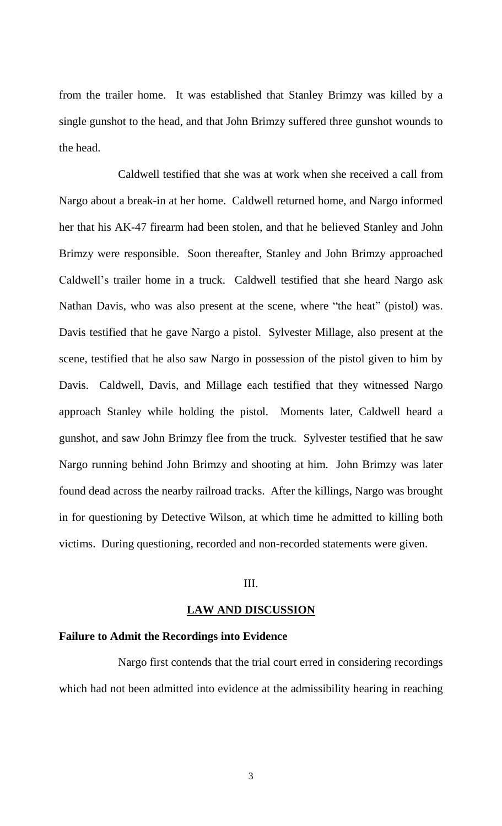from the trailer home. It was established that Stanley Brimzy was killed by a single gunshot to the head, and that John Brimzy suffered three gunshot wounds to the head.

Caldwell testified that she was at work when she received a call from Nargo about a break-in at her home. Caldwell returned home, and Nargo informed her that his AK-47 firearm had been stolen, and that he believed Stanley and John Brimzy were responsible. Soon thereafter, Stanley and John Brimzy approached Caldwell's trailer home in a truck. Caldwell testified that she heard Nargo ask Nathan Davis, who was also present at the scene, where "the heat" (pistol) was. Davis testified that he gave Nargo a pistol. Sylvester Millage, also present at the scene, testified that he also saw Nargo in possession of the pistol given to him by Davis. Caldwell, Davis, and Millage each testified that they witnessed Nargo approach Stanley while holding the pistol. Moments later, Caldwell heard a gunshot, and saw John Brimzy flee from the truck. Sylvester testified that he saw Nargo running behind John Brimzy and shooting at him. John Brimzy was later found dead across the nearby railroad tracks. After the killings, Nargo was brought in for questioning by Detective Wilson, at which time he admitted to killing both victims. During questioning, recorded and non-recorded statements were given.

## III.

#### **LAW AND DISCUSSION**

#### **Failure to Admit the Recordings into Evidence**

Nargo first contends that the trial court erred in considering recordings which had not been admitted into evidence at the admissibility hearing in reaching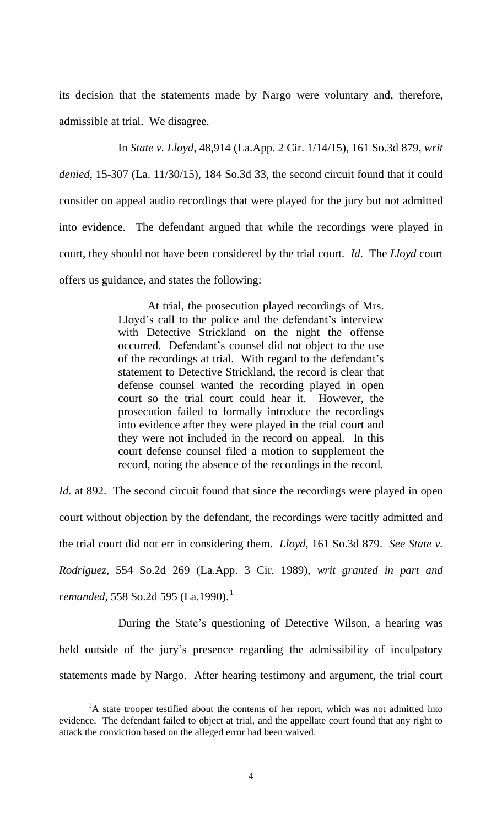its decision that the statements made by Nargo were voluntary and, therefore, admissible at trial. We disagree.

In *State v. Lloyd*, 48,914 (La.App. 2 Cir. 1/14/15), 161 So.3d 879, *writ denied*, 15-307 (La. 11/30/15), 184 So.3d 33, the second circuit found that it could consider on appeal audio recordings that were played for the jury but not admitted into evidence. The defendant argued that while the recordings were played in court, they should not have been considered by the trial court. *Id*. The *Lloyd* court offers us guidance, and states the following:

> At trial, the prosecution played recordings of Mrs. Lloyd's call to the police and the defendant's interview with Detective Strickland on the night the offense occurred. Defendant's counsel did not object to the use of the recordings at trial. With regard to the defendant's statement to Detective Strickland, the record is clear that defense counsel wanted the recording played in open court so the trial court could hear it. However, the prosecution failed to formally introduce the recordings into evidence after they were played in the trial court and they were not included in the record on appeal. In this court defense counsel filed a motion to supplement the record, noting the absence of the recordings in the record.

*Id.* at 892. The second circuit found that since the recordings were played in open court without objection by the defendant, the recordings were tacitly admitted and the trial court did not err in considering them. *Lloyd*, 161 So.3d 879. *See State v. Rodriguez*, 554 So.2d 269 (La.App. 3 Cir. 1989), *writ granted in part and remanded*, 558 So.2d 595 (La.1990).<sup>1</sup>

During the State's questioning of Detective Wilson, a hearing was held outside of the jury's presence regarding the admissibility of inculpatory statements made by Nargo. After hearing testimony and argument, the trial court

 $\overline{a}$ 

 ${}^{1}$ A state trooper testified about the contents of her report, which was not admitted into evidence. The defendant failed to object at trial, and the appellate court found that any right to attack the conviction based on the alleged error had been waived.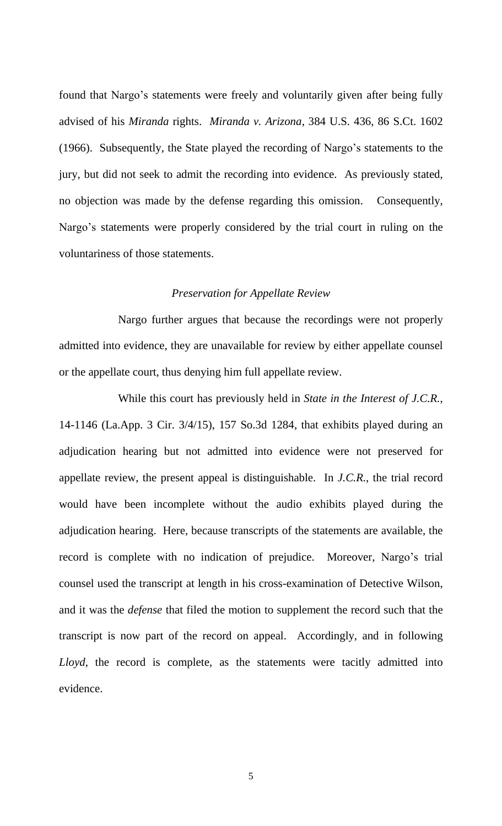found that Nargo's statements were freely and voluntarily given after being fully advised of his *Miranda* rights. *Miranda v. Arizona*, 384 U.S. 436, 86 S.Ct. 1602 (1966). Subsequently, the State played the recording of Nargo's statements to the jury, but did not seek to admit the recording into evidence. As previously stated, no objection was made by the defense regarding this omission. Consequently, Nargo's statements were properly considered by the trial court in ruling on the voluntariness of those statements.

#### *Preservation for Appellate Review*

Nargo further argues that because the recordings were not properly admitted into evidence, they are unavailable for review by either appellate counsel or the appellate court, thus denying him full appellate review.

While this court has previously held in *State in the Interest of J.C.R.*, 14-1146 (La.App. 3 Cir. 3/4/15), 157 So.3d 1284, that exhibits played during an adjudication hearing but not admitted into evidence were not preserved for appellate review, the present appeal is distinguishable. In *J.C.R.*, the trial record would have been incomplete without the audio exhibits played during the adjudication hearing. Here, because transcripts of the statements are available, the record is complete with no indication of prejudice. Moreover, Nargo's trial counsel used the transcript at length in his cross-examination of Detective Wilson, and it was the *defense* that filed the motion to supplement the record such that the transcript is now part of the record on appeal. Accordingly, and in following *Lloyd*, the record is complete, as the statements were tacitly admitted into evidence.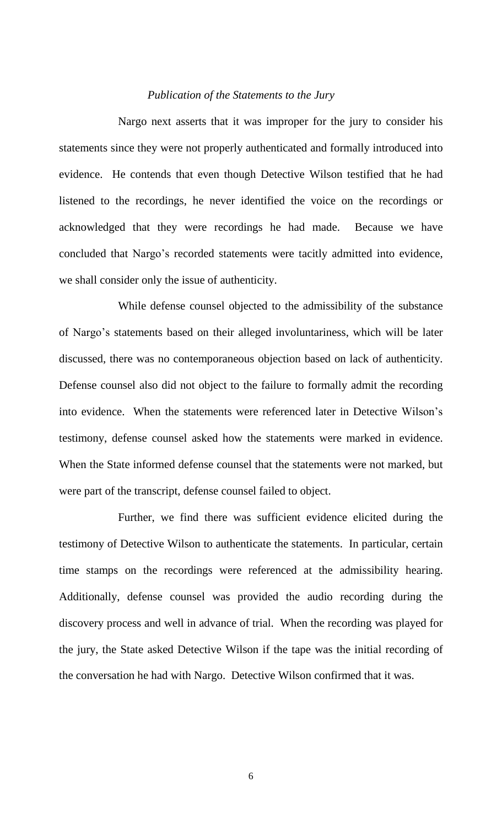## *Publication of the Statements to the Jury*

Nargo next asserts that it was improper for the jury to consider his statements since they were not properly authenticated and formally introduced into evidence. He contends that even though Detective Wilson testified that he had listened to the recordings, he never identified the voice on the recordings or acknowledged that they were recordings he had made. Because we have concluded that Nargo's recorded statements were tacitly admitted into evidence, we shall consider only the issue of authenticity.

While defense counsel objected to the admissibility of the substance of Nargo's statements based on their alleged involuntariness, which will be later discussed, there was no contemporaneous objection based on lack of authenticity. Defense counsel also did not object to the failure to formally admit the recording into evidence. When the statements were referenced later in Detective Wilson's testimony, defense counsel asked how the statements were marked in evidence. When the State informed defense counsel that the statements were not marked, but were part of the transcript, defense counsel failed to object.

Further, we find there was sufficient evidence elicited during the testimony of Detective Wilson to authenticate the statements. In particular, certain time stamps on the recordings were referenced at the admissibility hearing. Additionally, defense counsel was provided the audio recording during the discovery process and well in advance of trial. When the recording was played for the jury, the State asked Detective Wilson if the tape was the initial recording of the conversation he had with Nargo. Detective Wilson confirmed that it was.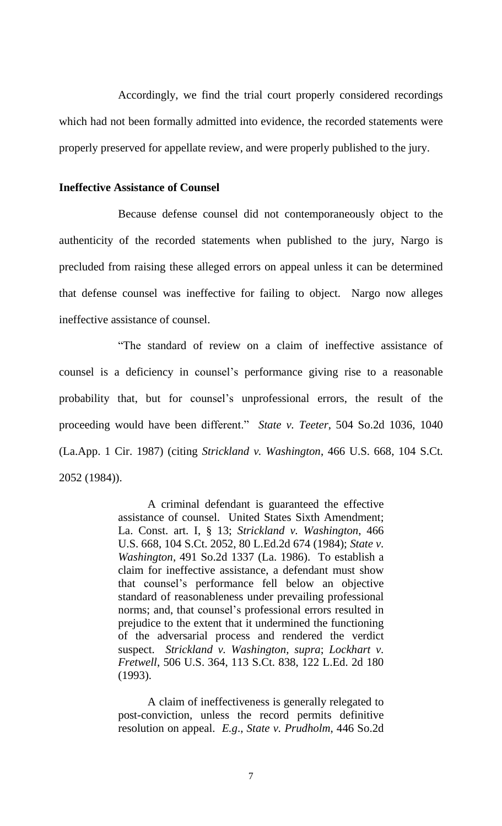Accordingly, we find the trial court properly considered recordings which had not been formally admitted into evidence, the recorded statements were properly preserved for appellate review, and were properly published to the jury.

## **Ineffective Assistance of Counsel**

Because defense counsel did not contemporaneously object to the authenticity of the recorded statements when published to the jury, Nargo is precluded from raising these alleged errors on appeal unless it can be determined that defense counsel was ineffective for failing to object. Nargo now alleges ineffective assistance of counsel.

"The standard of review on a claim of ineffective assistance of counsel is a deficiency in counsel's performance giving rise to a reasonable probability that, but for counsel's unprofessional errors, the result of the proceeding would have been different." *State v. Teeter*, 504 So.2d 1036, 1040 (La.App. 1 Cir. 1987) (citing *Strickland v. Washington*, 466 U.S. 668, 104 S.Ct. 2052 (1984)).

> A criminal defendant is guaranteed the effective assistance of counsel. United States Sixth Amendment; La. Const. art. I, § 13; *Strickland v. Washington*, 466 U.S. 668, 104 S.Ct. 2052, 80 L.Ed.2d 674 (1984); *State v. Washington*, 491 So.2d 1337 (La. 1986). To establish a claim for ineffective assistance, a defendant must show that counsel's performance fell below an objective standard of reasonableness under prevailing professional norms; and, that counsel's professional errors resulted in prejudice to the extent that it undermined the functioning of the adversarial process and rendered the verdict suspect. *Strickland v. Washington, supra*; *Lockhart v. Fretwell*, 506 U.S. 364, 113 S.Ct. 838, 122 L.Ed. 2d 180 (1993).

> A claim of ineffectiveness is generally relegated to post-conviction, unless the record permits definitive resolution on appeal. *E.g*., *State v. Prudholm*, 446 So.2d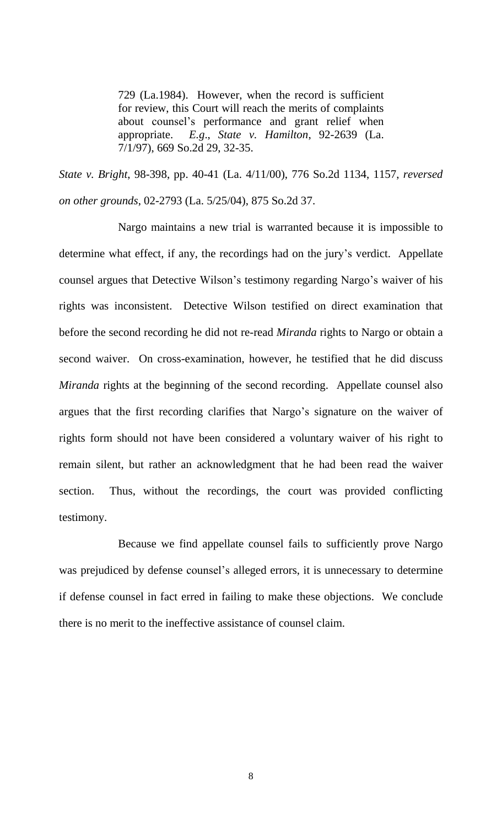729 (La.1984). However, when the record is sufficient for review, this Court will reach the merits of complaints about counsel's performance and grant relief when appropriate. *E.g*., *State v. Hamilton*, 92-2639 (La. 7/1/97), 669 So.2d 29, 32-35.

*State v. Bright*, 98-398, pp. 40-41 (La. 4/11/00), 776 So.2d 1134, 1157, *reversed on other grounds*, 02-2793 (La. 5/25/04), 875 So.2d 37.

Nargo maintains a new trial is warranted because it is impossible to determine what effect, if any, the recordings had on the jury's verdict. Appellate counsel argues that Detective Wilson's testimony regarding Nargo's waiver of his rights was inconsistent. Detective Wilson testified on direct examination that before the second recording he did not re-read *Miranda* rights to Nargo or obtain a second waiver. On cross-examination, however, he testified that he did discuss *Miranda* rights at the beginning of the second recording. Appellate counsel also argues that the first recording clarifies that Nargo's signature on the waiver of rights form should not have been considered a voluntary waiver of his right to remain silent, but rather an acknowledgment that he had been read the waiver section. Thus, without the recordings, the court was provided conflicting testimony.

Because we find appellate counsel fails to sufficiently prove Nargo was prejudiced by defense counsel's alleged errors, it is unnecessary to determine if defense counsel in fact erred in failing to make these objections. We conclude there is no merit to the ineffective assistance of counsel claim.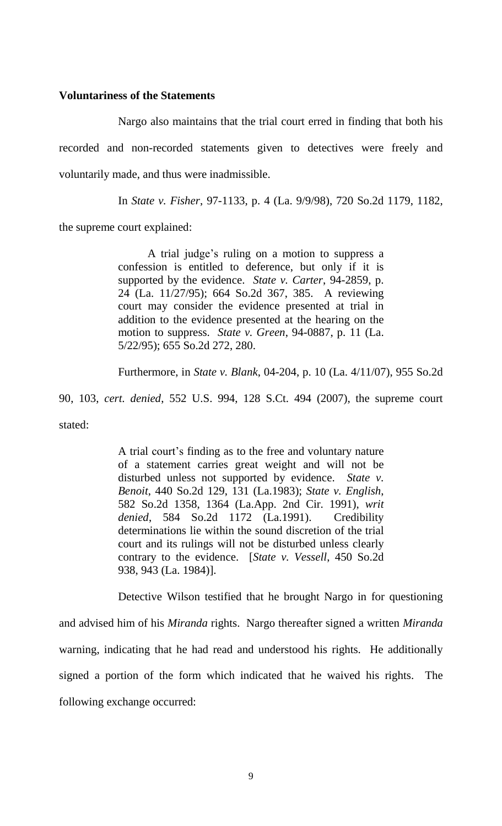## **Voluntariness of the Statements**

Nargo also maintains that the trial court erred in finding that both his recorded and non-recorded statements given to detectives were freely and voluntarily made, and thus were inadmissible.

In *State v. Fisher*, 97-1133, p. 4 (La. 9/9/98), 720 So.2d 1179, 1182,

the supreme court explained:

A trial judge's ruling on a motion to suppress a confession is entitled to deference, but only if it is supported by the evidence. *State v. Carter*, 94-2859, p. 24 (La. 11/27/95); 664 So.2d 367, 385. A reviewing court may consider the evidence presented at trial in addition to the evidence presented at the hearing on the motion to suppress. *State v. Green*, 94-0887, p. 11 (La. 5/22/95); 655 So.2d 272, 280.

Furthermore, in *State v. Blank*, 04-204, p. 10 (La. 4/11/07), 955 So.2d

90, 103, *cert. denied*, 552 U.S. 994, 128 S.Ct. 494 (2007), the supreme court

stated:

A trial court's finding as to the free and voluntary nature of a statement carries great weight and will not be disturbed unless not supported by evidence. *State v. Benoit*, 440 So.2d 129, 131 (La.1983); *State v. English*, 582 So.2d 1358, 1364 (La.App. 2nd Cir. 1991), *writ denied*, 584 So.2d 1172 (La.1991). Credibility determinations lie within the sound discretion of the trial court and its rulings will not be disturbed unless clearly contrary to the evidence. [*State v. Vessell*, 450 So.2d 938, 943 (La. 1984)].

Detective Wilson testified that he brought Nargo in for questioning and advised him of his *Miranda* rights. Nargo thereafter signed a written *Miranda* warning, indicating that he had read and understood his rights. He additionally signed a portion of the form which indicated that he waived his rights. The following exchange occurred: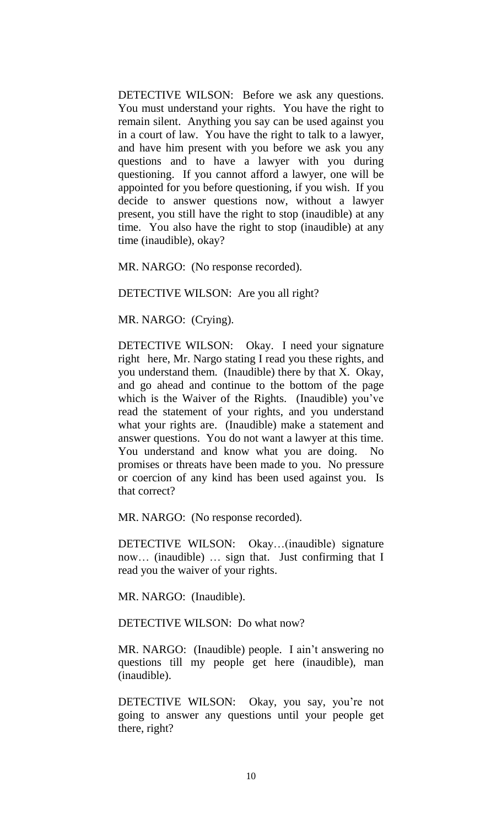DETECTIVE WILSON: Before we ask any questions. You must understand your rights. You have the right to remain silent. Anything you say can be used against you in a court of law. You have the right to talk to a lawyer, and have him present with you before we ask you any questions and to have a lawyer with you during questioning. If you cannot afford a lawyer, one will be appointed for you before questioning, if you wish. If you decide to answer questions now, without a lawyer present, you still have the right to stop (inaudible) at any time. You also have the right to stop (inaudible) at any time (inaudible), okay?

MR. NARGO: (No response recorded).

DETECTIVE WILSON: Are you all right?

MR. NARGO: (Crying).

DETECTIVE WILSON: Okay. I need your signature right here, Mr. Nargo stating I read you these rights, and you understand them. (Inaudible) there by that X. Okay, and go ahead and continue to the bottom of the page which is the Waiver of the Rights. (Inaudible) you've read the statement of your rights, and you understand what your rights are. (Inaudible) make a statement and answer questions. You do not want a lawyer at this time. You understand and know what you are doing. No promises or threats have been made to you. No pressure or coercion of any kind has been used against you. Is that correct?

MR. NARGO: (No response recorded).

DETECTIVE WILSON: Okay…(inaudible) signature now… (inaudible) … sign that. Just confirming that I read you the waiver of your rights.

MR. NARGO: (Inaudible).

DETECTIVE WILSON: Do what now?

MR. NARGO: (Inaudible) people. I ain't answering no questions till my people get here (inaudible), man (inaudible).

DETECTIVE WILSON: Okay, you say, you're not going to answer any questions until your people get there, right?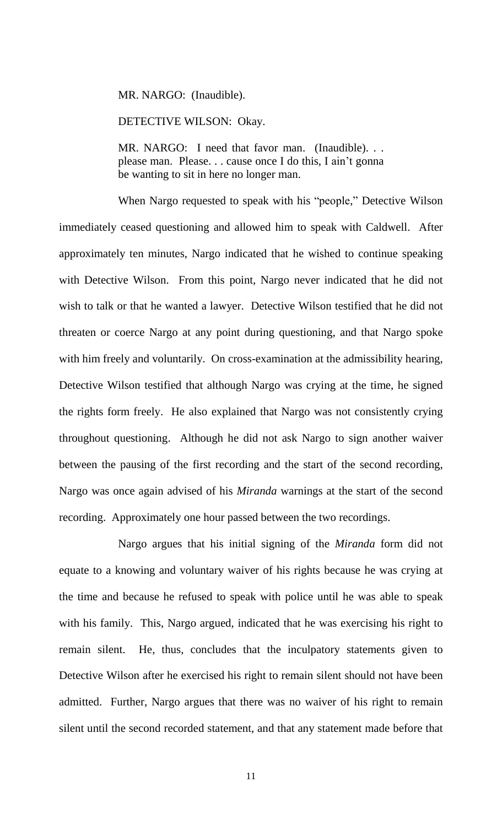MR. NARGO: (Inaudible).

DETECTIVE WILSON: Okay.

MR. NARGO: I need that favor man. (Inaudible). . . please man. Please. . . cause once I do this, I ain't gonna be wanting to sit in here no longer man.

When Nargo requested to speak with his "people," Detective Wilson immediately ceased questioning and allowed him to speak with Caldwell. After approximately ten minutes, Nargo indicated that he wished to continue speaking with Detective Wilson. From this point, Nargo never indicated that he did not wish to talk or that he wanted a lawyer. Detective Wilson testified that he did not threaten or coerce Nargo at any point during questioning, and that Nargo spoke with him freely and voluntarily. On cross-examination at the admissibility hearing, Detective Wilson testified that although Nargo was crying at the time, he signed the rights form freely. He also explained that Nargo was not consistently crying throughout questioning. Although he did not ask Nargo to sign another waiver between the pausing of the first recording and the start of the second recording, Nargo was once again advised of his *Miranda* warnings at the start of the second recording. Approximately one hour passed between the two recordings.

Nargo argues that his initial signing of the *Miranda* form did not equate to a knowing and voluntary waiver of his rights because he was crying at the time and because he refused to speak with police until he was able to speak with his family. This, Nargo argued, indicated that he was exercising his right to remain silent. He, thus, concludes that the inculpatory statements given to Detective Wilson after he exercised his right to remain silent should not have been admitted. Further, Nargo argues that there was no waiver of his right to remain silent until the second recorded statement, and that any statement made before that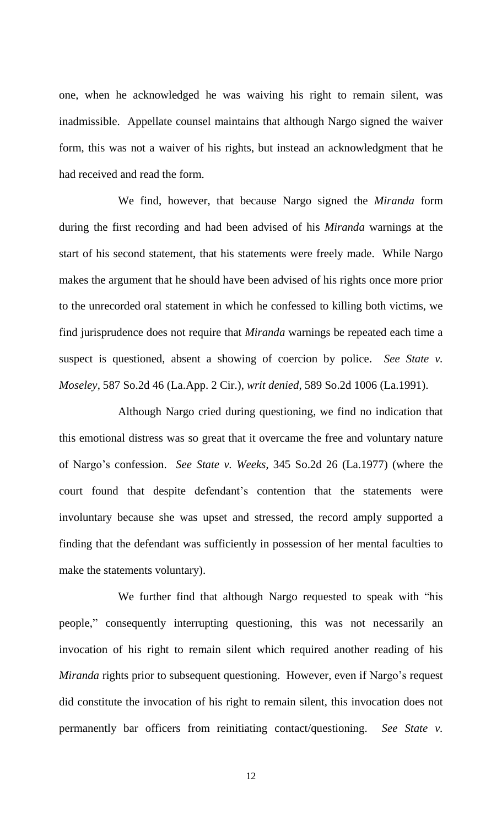one, when he acknowledged he was waiving his right to remain silent, was inadmissible. Appellate counsel maintains that although Nargo signed the waiver form, this was not a waiver of his rights, but instead an acknowledgment that he had received and read the form.

We find, however, that because Nargo signed the *Miranda* form during the first recording and had been advised of his *Miranda* warnings at the start of his second statement, that his statements were freely made. While Nargo makes the argument that he should have been advised of his rights once more prior to the unrecorded oral statement in which he confessed to killing both victims, we find jurisprudence does not require that *Miranda* warnings be repeated each time a suspect is questioned, absent a showing of coercion by police. *See State v. Moseley*, 587 So.2d 46 (La.App. 2 Cir.), *writ denied*, 589 So.2d 1006 (La.1991).

Although Nargo cried during questioning, we find no indication that this emotional distress was so great that it overcame the free and voluntary nature of Nargo's confession. *See State v. Weeks*, 345 So.2d 26 (La.1977) (where the court found that despite defendant's contention that the statements were involuntary because she was upset and stressed, the record amply supported a finding that the defendant was sufficiently in possession of her mental faculties to make the statements voluntary).

We further find that although Nargo requested to speak with "his people," consequently interrupting questioning, this was not necessarily an invocation of his right to remain silent which required another reading of his *Miranda* rights prior to subsequent questioning. However, even if Nargo's request did constitute the invocation of his right to remain silent, this invocation does not permanently bar officers from reinitiating contact/questioning. *See State v.*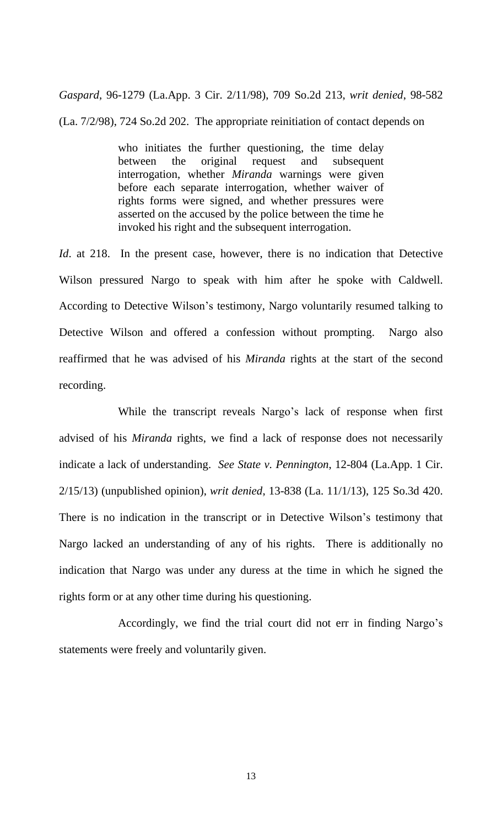*Gaspard*, 96-1279 (La.App. 3 Cir. 2/11/98), 709 So.2d 213, *writ denied*, 98-582 (La. 7/2/98), 724 So.2d 202. The appropriate reinitiation of contact depends on

> who initiates the further questioning, the time delay between the original request and subsequent interrogation, whether *Miranda* warnings were given before each separate interrogation, whether waiver of rights forms were signed, and whether pressures were asserted on the accused by the police between the time he invoked his right and the subsequent interrogation.

*Id.* at 218. In the present case, however, there is no indication that Detective Wilson pressured Nargo to speak with him after he spoke with Caldwell. According to Detective Wilson's testimony, Nargo voluntarily resumed talking to Detective Wilson and offered a confession without prompting. Nargo also reaffirmed that he was advised of his *Miranda* rights at the start of the second recording.

While the transcript reveals Nargo's lack of response when first advised of his *Miranda* rights, we find a lack of response does not necessarily indicate a lack of understanding. *See State v. Pennington*, 12-804 (La.App. 1 Cir. 2/15/13) (unpublished opinion), *writ denied*, 13-838 (La. 11/1/13), 125 So.3d 420. There is no indication in the transcript or in Detective Wilson's testimony that Nargo lacked an understanding of any of his rights. There is additionally no indication that Nargo was under any duress at the time in which he signed the rights form or at any other time during his questioning.

Accordingly, we find the trial court did not err in finding Nargo's statements were freely and voluntarily given.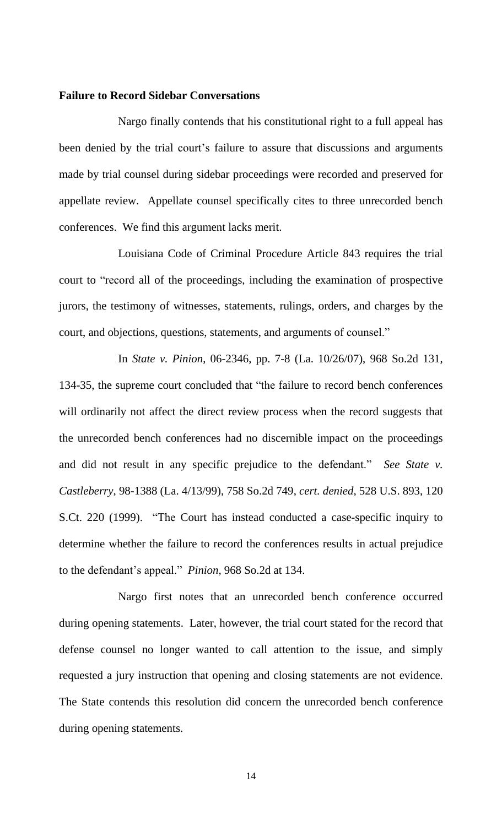#### **Failure to Record Sidebar Conversations**

Nargo finally contends that his constitutional right to a full appeal has been denied by the trial court's failure to assure that discussions and arguments made by trial counsel during sidebar proceedings were recorded and preserved for appellate review. Appellate counsel specifically cites to three unrecorded bench conferences. We find this argument lacks merit.

Louisiana Code of Criminal Procedure Article 843 requires the trial court to "record all of the proceedings, including the examination of prospective jurors, the testimony of witnesses, statements, rulings, orders, and charges by the court, and objections, questions, statements, and arguments of counsel."

In *State v. Pinion*, 06-2346, pp. 7-8 (La. 10/26/07), 968 So.2d 131, 134-35, the supreme court concluded that "the failure to record bench conferences will ordinarily not affect the direct review process when the record suggests that the unrecorded bench conferences had no discernible impact on the proceedings and did not result in any specific prejudice to the defendant." *See State v. Castleberry*, 98-1388 (La. 4/13/99), 758 So.2d 749, *cert. denied*, 528 U.S. 893, 120 S.Ct. 220 (1999). "The Court has instead conducted a case-specific inquiry to determine whether the failure to record the conferences results in actual prejudice to the defendant's appeal." *Pinion*, 968 So.2d at 134.

Nargo first notes that an unrecorded bench conference occurred during opening statements. Later, however, the trial court stated for the record that defense counsel no longer wanted to call attention to the issue, and simply requested a jury instruction that opening and closing statements are not evidence. The State contends this resolution did concern the unrecorded bench conference during opening statements.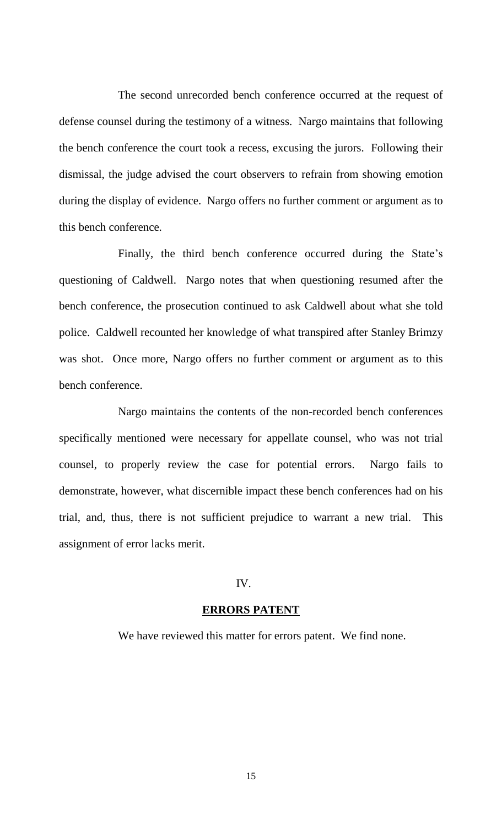The second unrecorded bench conference occurred at the request of defense counsel during the testimony of a witness. Nargo maintains that following the bench conference the court took a recess, excusing the jurors. Following their dismissal, the judge advised the court observers to refrain from showing emotion during the display of evidence. Nargo offers no further comment or argument as to this bench conference.

Finally, the third bench conference occurred during the State's questioning of Caldwell. Nargo notes that when questioning resumed after the bench conference, the prosecution continued to ask Caldwell about what she told police. Caldwell recounted her knowledge of what transpired after Stanley Brimzy was shot. Once more, Nargo offers no further comment or argument as to this bench conference.

Nargo maintains the contents of the non-recorded bench conferences specifically mentioned were necessary for appellate counsel, who was not trial counsel, to properly review the case for potential errors. Nargo fails to demonstrate, however, what discernible impact these bench conferences had on his trial, and, thus, there is not sufficient prejudice to warrant a new trial. This assignment of error lacks merit.

## IV.

#### **ERRORS PATENT**

We have reviewed this matter for errors patent. We find none.